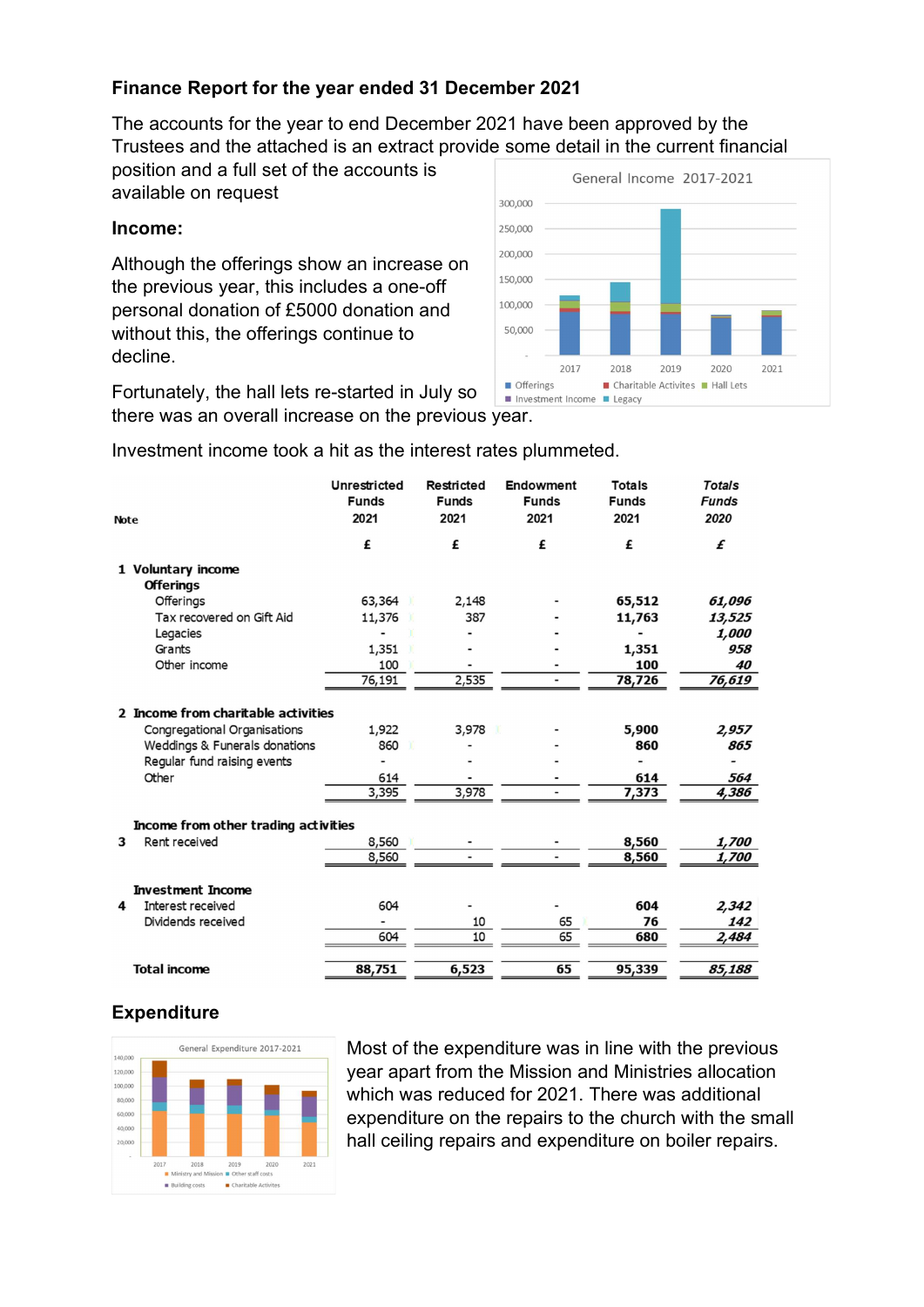## Finance Report for the year ended 31 December 2021

The accounts for the year to end December 2021 have been approved by the Trustees and the attached is an extract provide some detail in the current financial

position and a full set of the accounts is available on request

## Income:

Although the offerings show an increase on the previous year, this includes a one-off personal donation of £5000 donation and without this, the offerings continue to decline.



Fortunately, the hall lets re-started in July so there was an overall increase on the previous year.

Investment income took a hit as the interest rates plummeted.

| <b>Note</b> |                                      | <b>Unrestricted</b><br><b>Funds</b><br>2021 | <b>Restricted</b><br><b>Funds</b><br>2021 | Endowment<br><b>Funds</b><br>2021 | <b>Totals</b><br><b>Funds</b><br>2021 | <b>Totals</b><br><b>Funds</b><br>2020 |  |
|-------------|--------------------------------------|---------------------------------------------|-------------------------------------------|-----------------------------------|---------------------------------------|---------------------------------------|--|
|             |                                      | £                                           | £                                         | £                                 | £                                     | £                                     |  |
|             | 1 Voluntary income                   |                                             |                                           |                                   |                                       |                                       |  |
|             | <b>Offerings</b>                     |                                             |                                           |                                   |                                       |                                       |  |
|             | Offerings                            | 63,364                                      | 2,148                                     |                                   | 65,512                                | 61,096                                |  |
|             | Tax recovered on Gift Aid            | 11,376                                      | 387                                       |                                   | 11,763                                | 13,525                                |  |
|             | Legacies                             |                                             |                                           |                                   |                                       | 1,000                                 |  |
|             | Grants                               | 1,351                                       |                                           |                                   | 1,351                                 | 958                                   |  |
|             | Other income                         | 100                                         |                                           |                                   | 100                                   | 40                                    |  |
|             |                                      | 76,191                                      | 2,535                                     | $\overline{\phantom{0}}$          | 78,726                                | 76,619                                |  |
|             | 2 Income from charitable activities  |                                             |                                           |                                   |                                       |                                       |  |
|             | Congregational Organisations         | 1,922                                       | 3,978                                     |                                   | 5,900                                 | 2,957                                 |  |
|             | Weddings & Funerals donations        | 860                                         |                                           |                                   | 860                                   | 865                                   |  |
|             | Regular fund raising events          |                                             |                                           |                                   |                                       |                                       |  |
|             | Other                                | 614                                         |                                           |                                   | 614                                   | 564                                   |  |
|             |                                      | 3,395                                       | 3,978                                     |                                   | 7,373                                 | 4,386                                 |  |
|             | Income from other trading activities |                                             |                                           |                                   |                                       |                                       |  |
| 3           | Rent received                        | 8,560                                       |                                           |                                   | 8,560                                 | 1,700                                 |  |
|             |                                      | 8,560                                       |                                           |                                   | 8,560                                 | 1,700                                 |  |
|             | <b>Investment Income</b>             |                                             |                                           |                                   |                                       |                                       |  |
| 4           | Interest received                    | 604                                         |                                           |                                   | 604                                   | 2,342                                 |  |
|             | Dividends received                   |                                             | 10                                        | 65                                | 76                                    | 142                                   |  |
|             |                                      | 604                                         | 10                                        | 65                                | 680                                   | 2,484                                 |  |
|             | <b>Total income</b>                  | 88,751                                      | 6,523                                     | 65                                | 95,339                                | 85,188                                |  |

## **Expenditure**



Most of the expenditure was in line with the previous year apart from the Mission and Ministries allocation which was reduced for 2021. There was additional expenditure on the repairs to the church with the small hall ceiling repairs and expenditure on boiler repairs.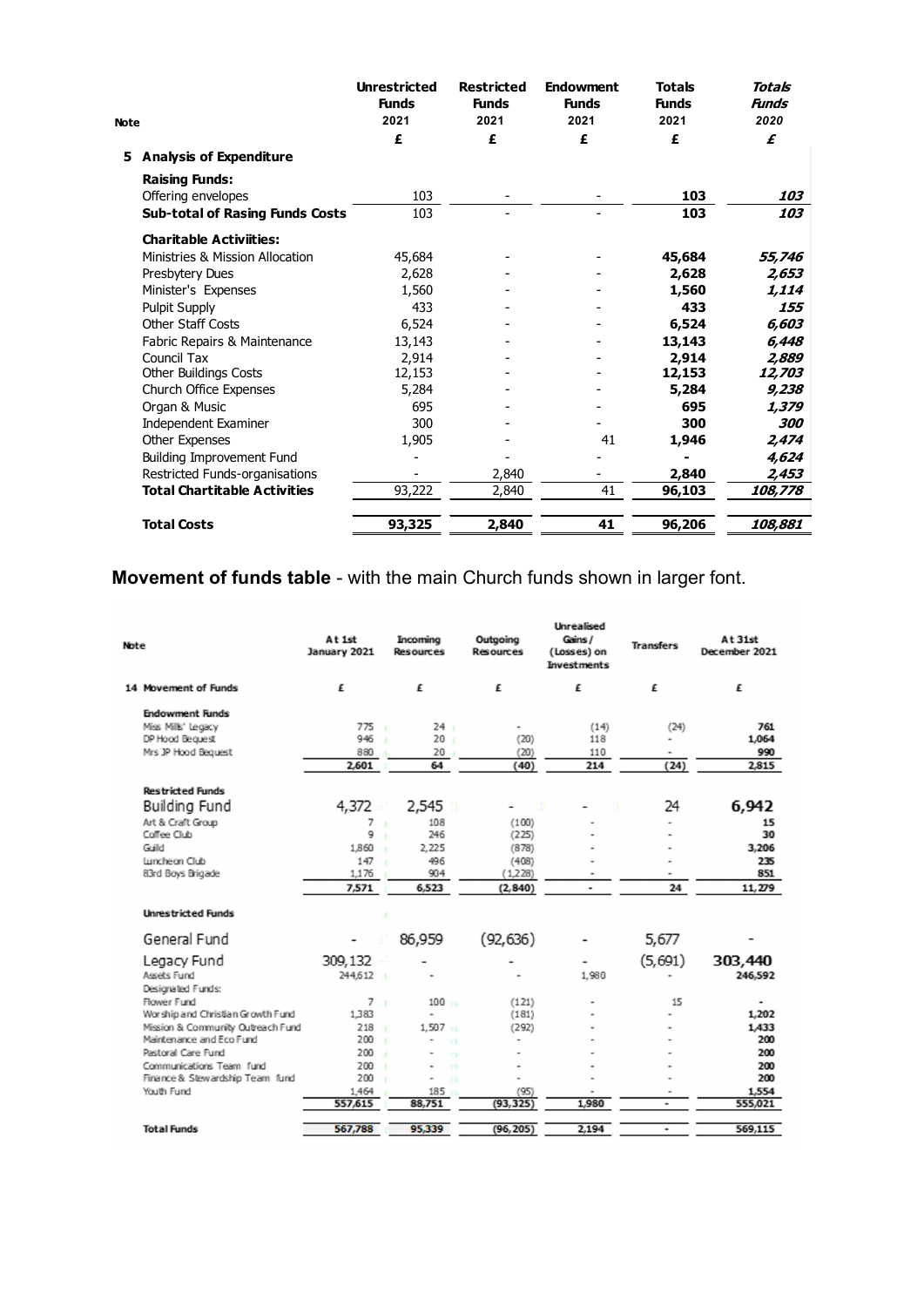|      |                                        | <b>Unrestricted</b><br><b>Funds</b> | <b>Restricted</b><br><b>Funds</b> | <b>Endowment</b><br><b>Funds</b> | <b>Totals</b><br><b>Funds</b> | Totals<br>Funds |
|------|----------------------------------------|-------------------------------------|-----------------------------------|----------------------------------|-------------------------------|-----------------|
| Note |                                        | 2021                                | 2021                              | 2021                             | 2021                          | 2020            |
|      |                                        | £                                   | £                                 | £                                | £                             | £               |
|      | 5 Analysis of Expenditure              |                                     |                                   |                                  |                               |                 |
|      | <b>Raising Funds:</b>                  |                                     |                                   |                                  |                               |                 |
|      | Offering envelopes                     | 103                                 |                                   |                                  | 103                           | 103             |
|      | <b>Sub-total of Rasing Funds Costs</b> | 103                                 |                                   |                                  | $\frac{103}{ }$               | 103             |
|      | <b>Charitable Activiities:</b>         |                                     |                                   |                                  |                               |                 |
|      | Ministries & Mission Allocation        | 45,684                              |                                   |                                  | 45,684                        | 55,746          |
|      | Presbytery Dues                        | 2,628                               |                                   |                                  | 2,628                         | 2,653           |
|      | Minister's Expenses                    | 1,560                               |                                   |                                  | 1,560                         | 1,114           |
|      | Pulpit Supply                          | 433                                 |                                   |                                  | 433                           | 155             |
|      | Other Staff Costs                      | 6,524                               |                                   |                                  | 6,524                         | 6,603           |
|      | Fabric Repairs & Maintenance           | 13,143                              |                                   |                                  | 13,143                        | 6,448           |
|      | Council Tax                            | 2,914                               |                                   |                                  | 2,914                         | 2,889           |
|      | Other Buildings Costs                  | 12,153                              |                                   | $\overline{\phantom{a}}$         | 12,153                        | 12,703          |
|      | Church Office Expenses                 | 5,284                               |                                   |                                  | 5,284                         | 9,238           |
|      | Organ & Music                          | 695                                 |                                   |                                  | 695                           | 1,379           |
|      | <b>Independent Examiner</b>            | 300                                 |                                   |                                  | 300                           | 300             |
|      | Other Expenses                         | 1,905                               |                                   | 41                               | 1,946                         | 2,474           |
|      | <b>Building Improvement Fund</b>       | $\blacksquare$                      |                                   |                                  | $\blacksquare$                | 4,624           |
|      | Restricted Funds-organisations         |                                     | 2,840                             |                                  | 2,840                         | 2,453           |
|      | <b>Total Chartitable Activities</b>    | 93,222                              | 2,840                             | 41                               | 96,103                        | 108,778         |
|      | <b>Total Costs</b>                     | 93,325                              | 2,840                             | 41                               | 96,206                        | 108,881         |

## Movement of funds table - with the main Church funds shown in larger font.

| Note |                                    | At 1st<br>January 2021 | Incoming<br>Resources              | Outgoing<br>Resources | <b>Unrealised</b><br>Gains /<br>(Losses) on<br><b>Investments</b> | <b>Transfers</b> | At 31st<br>December 2021 |
|------|------------------------------------|------------------------|------------------------------------|-----------------------|-------------------------------------------------------------------|------------------|--------------------------|
|      | 14 Movement of Funds               | £                      | £                                  | £                     | £                                                                 | £                | £                        |
|      | <b>Endowment Funds</b>             |                        |                                    |                       |                                                                   |                  |                          |
|      | Miss Mills' Legacy                 | 775                    | 24:                                |                       | (14)                                                              | (24)             | 761                      |
|      | DP Hood Bequest                    | 946                    | 20 <sub>1</sub>                    | (20)                  | 118                                                               |                  | 1,064                    |
|      | Mrs JP Hood Bequest                | 880                    | 20                                 | (20)                  | 110                                                               |                  | 990                      |
|      |                                    | 2.601                  | 64                                 | (40)                  | 214                                                               | (24)             | 2.815                    |
|      | <b>Restricted Funds</b>            |                        |                                    |                       |                                                                   |                  |                          |
|      | Building Fund                      | 4,372                  | 2,545                              | m                     |                                                                   | 24               | 6,942                    |
|      | Art & Craft Group                  | 7                      | 108<br>ă                           | (100)                 |                                                                   |                  | 15                       |
|      | Coffee Club                        | 9                      | 246<br>×                           | (225)                 |                                                                   |                  | 30                       |
|      | Guild                              | 1.860                  | 2.225<br>×                         | (878)                 |                                                                   |                  | 3,206                    |
|      | Luncheon Club                      | 147                    | 496                                | (408)                 |                                                                   |                  | 235                      |
|      | 83rd Boys Brigade                  | 1.176                  | 904                                | (1,228)               | $\blacksquare$                                                    | $\blacksquare$   | 851                      |
|      |                                    | 7,571                  | 6.523                              | (2, 840)              | $\overline{\phantom{a}}$                                          | 24               | 11,279                   |
|      | <b>Unrestricted Funds</b>          |                        |                                    |                       |                                                                   |                  |                          |
|      | General Fund                       |                        | 86,959                             | (92, 636)             |                                                                   | 5,677            |                          |
|      | Legacy Fund                        | 309,132                |                                    |                       | -                                                                 | (5,691)          | 303,440                  |
|      | Assets Fund                        | 244,612                |                                    |                       | 1.980                                                             |                  | 246,592                  |
|      | Designated Funds:                  |                        |                                    |                       |                                                                   |                  |                          |
|      | Flower Fund                        | 7 <sup>1</sup>         | $100$ $\ldots$                     | (121)                 |                                                                   | 15               |                          |
|      | Wor ship and Christian Growth Fund | 1383                   | $\overline{a}$                     | (181)                 |                                                                   |                  | 1,202                    |
|      | Mission & Community Outreach Fund  | 218                    | 1.507<br>×                         | (292)                 |                                                                   |                  | 1,433                    |
|      | Maintenance and Eco Fund           | 200                    | ×<br>$\overline{\phantom{a}}$<br>X | ۰                     |                                                                   |                  | 200                      |
|      | Pastoral Care Fund                 | 200                    | ۰<br>YL                            |                       |                                                                   |                  | 200                      |
|      | Communications Team fund           | 200                    | X<br>۰                             |                       |                                                                   |                  | 200                      |
|      | Finance & Stewardship Team fund    | 200                    | ۰<br>$Y\overline{D}$               |                       |                                                                   |                  | 200                      |
|      | Youth Fund                         | 1,464                  | $185 -$                            | (95)                  |                                                                   |                  | 1,554                    |
|      |                                    | 557,615                | 88,751                             | (93, 325)             | 1,980                                                             | ۰                | 555,021                  |
|      | <b>Total Funds</b>                 | 567,788                | 95,339                             | (96, 205)             | 2,194                                                             | ۰                | 569,115                  |